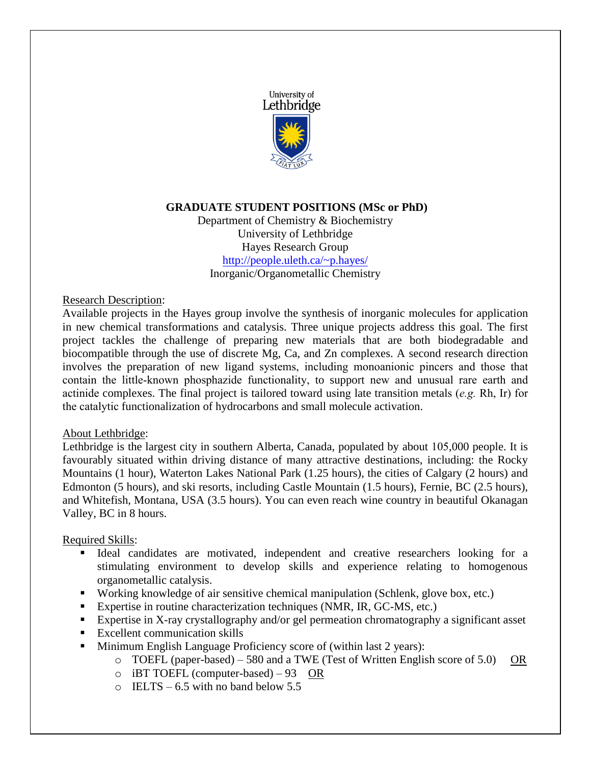

# **GRADUATE STUDENT POSITIONS (MSc or PhD)**

Department of Chemistry & Biochemistry University of Lethbridge Hayes Research Group <http://people.uleth.ca/~p.hayes/> Inorganic/Organometallic Chemistry

### Research Description:

Available projects in the Hayes group involve the synthesis of inorganic molecules for application in new chemical transformations and catalysis. Three unique projects address this goal. The first project tackles the challenge of preparing new materials that are both biodegradable and biocompatible through the use of discrete Mg, Ca, and Zn complexes. A second research direction involves the preparation of new ligand systems, including monoanionic pincers and those that contain the little-known phosphazide functionality, to support new and unusual rare earth and actinide complexes. The final project is tailored toward using late transition metals (*e.g.* Rh, Ir) for the catalytic functionalization of hydrocarbons and small molecule activation.

### About Lethbridge:

Lethbridge is the largest city in southern Alberta, Canada, populated by about 105,000 people. It is favourably situated within driving distance of many attractive destinations, including: the Rocky Mountains (1 hour), Waterton Lakes National Park (1.25 hours), the cities of Calgary (2 hours) and Edmonton (5 hours), and ski resorts, including Castle Mountain (1.5 hours), Fernie, BC (2.5 hours), and Whitefish, Montana, USA (3.5 hours). You can even reach wine country in beautiful Okanagan Valley, BC in 8 hours.

### Required Skills:

- Ideal candidates are motivated, independent and creative researchers looking for a stimulating environment to develop skills and experience relating to homogenous organometallic catalysis.
- Working knowledge of air sensitive chemical manipulation (Schlenk, glove box, etc.)
- Expertise in routine characterization techniques (NMR, IR, GC-MS, etc.)
- Expertise in X-ray crystallography and/or gel permeation chromatography a significant asset
- **Excellent communication skills**
- Minimum English Language Proficiency score of (within last 2 years):
	- o TOEFL (paper-based) 580 and a TWE (Test of Written English score of 5.0) OR
	- o iBT TOEFL (computer-based) 93 OR
	- $\circ$  IELTS 6.5 with no band below 5.5